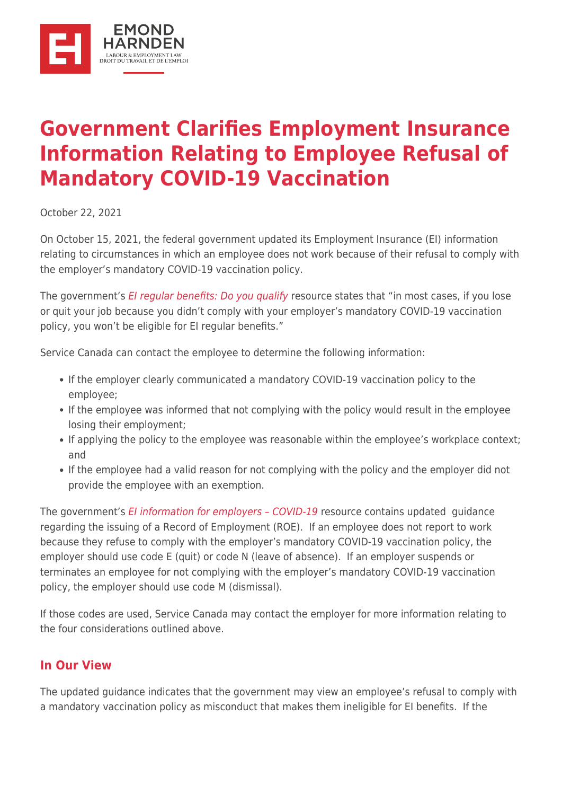

## **[Government Clarifies Employment Insurance](https://ehlaw.ca/government-clarifies-employment-insurance-information-relating-to-employee-refusal-of-mandatory-covid-19-vaccination/) [Information Relating to Employee Refusal of](https://ehlaw.ca/government-clarifies-employment-insurance-information-relating-to-employee-refusal-of-mandatory-covid-19-vaccination/) [Mandatory COVID-19 Vaccination](https://ehlaw.ca/government-clarifies-employment-insurance-information-relating-to-employee-refusal-of-mandatory-covid-19-vaccination/)**

October 22, 2021

On October 15, 2021, the federal government updated its Employment Insurance (EI) information relating to circumstances in which an employee does not work because of their refusal to comply with the employer's mandatory COVID-19 vaccination policy.

The government's [EI regular benefits: Do you qualify](https://www.canada.ca/en/services/benefits/ei/ei-regular-benefit/eligibility.html) resource states that "in most cases, if you lose or quit your job because you didn't comply with your employer's mandatory COVID-19 vaccination policy, you won't be eligible for EI regular benefits."

Service Canada can contact the employee to determine the following information:

- If the employer clearly communicated a mandatory COVID-19 vaccination policy to the employee;
- If the employee was informed that not complying with the policy would result in the employee losing their employment;
- If applying the policy to the employee was reasonable within the employee's workplace context; and
- If the employee had a valid reason for not complying with the policy and the employer did not provide the employee with an exemption.

The government's EI information for employers - COVID-19 resource contains updated quidance regarding the issuing of a Record of Employment (ROE). If an employee does not report to work because they refuse to comply with the employer's mandatory COVID-19 vaccination policy, the employer should use code E (quit) or code N (leave of absence). If an employer suspends or terminates an employee for not complying with the employer's mandatory COVID-19 vaccination policy, the employer should use code M (dismissal).

If those codes are used, Service Canada may contact the employer for more information relating to the four considerations outlined above.

## **In Our View**

The updated guidance indicates that the government may view an employee's refusal to comply with a mandatory vaccination policy as misconduct that makes them ineligible for EI benefits. If the